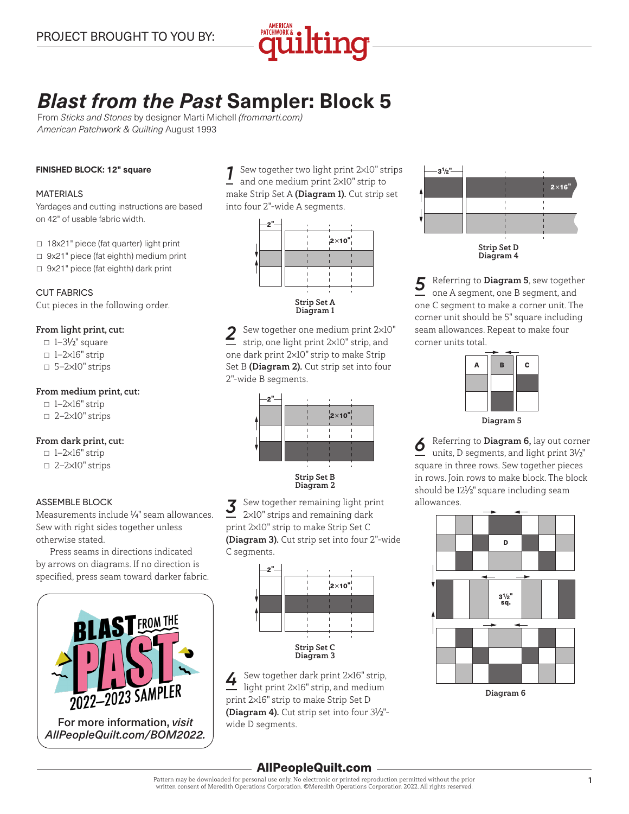

# *Blast from the Past* **Sampler: Block 5**

From *Sticks and Stones* by designer Marti Michell *(frommarti.com) American Patchwork & Quilting* August 1993

#### **FINISHED BLOCK: 12" square**

#### MATERIALS

Yardages and cutting instructions are based on 42" of usable fabric width.

- □ 18x21" piece (fat quarter) light print
- 9x21" piece (fat eighth) medium print
- 9x21" piece (fat eighth) dark print

CUT FABRICS Cut pieces in the following order.

## From light print, cut:

- □ 1–3½" square
- $\Box$  1-2×16" strip
- □ 5-2×10" strips

## From medium print, cut:

 $\Box$  1–2×16" strip ▫ 2—2×10" strips

## From dark print, cut:

- $\Box$  1-2×16" strip
- □ 2-2×10" strips

#### ASSEMBLE BLOCK

Measurements include 1 ⁄4" seam allowances. Sew with right sides together unless otherwise stated.

Press seams in directions indicated by arrows on diagrams. If no direction is specified, press seam toward darker fabric.



Sew together two light print 2×10" strips and one medium print 2×10" strip to make Strip Set A (Diagram 1). Cut strip set into four 2"-wide A segments.



*2* Sew together one medium print 2×10" strip, one light print 2×10" strip, and one dark print 2×10" strip to make Strip Set B (Diagram 2). Cut strip set into four 2"-wide B segments.



 $\overline{3}$  Sew together remaining light print 2×10" strips and remaining dark print 2×10" strip to make Strip Set C (Diagram 3). Cut strip set into four 2"-wide C segments.



*4* Sew together dark print 2×16" strip, light print 2×16" strip, and medium print 2×16" strip to make Strip Set D (Diagram 4). Cut strip set into four 3<sup>1/2"</sup>wide D segments.



*5* Referring to Diagram <sup>5</sup>, sew together one A segment, one B segment, and one C segment to make a corner unit. The corner unit should be 5" square including seam allowances. Repeat to make four corner units total.

| А         | B | C |
|-----------|---|---|
|           |   |   |
|           |   |   |
| Diagram 5 |   |   |

**6** Referring to Diagram 6, lay out corner units, D segments, and light print 31 ⁄2" square in three rows. Sew together pieces in rows. Join rows to make block. The block should be 121 ⁄2" square including seam allowances.





# AllPeopleQuilt.com

Pattern may be downloaded for personal use only. No electronic or printed reproduction permitted without the prior written consent of Meredith Operations Corporation. ©Meredith Operations Corporation 2022. All rights reserved.